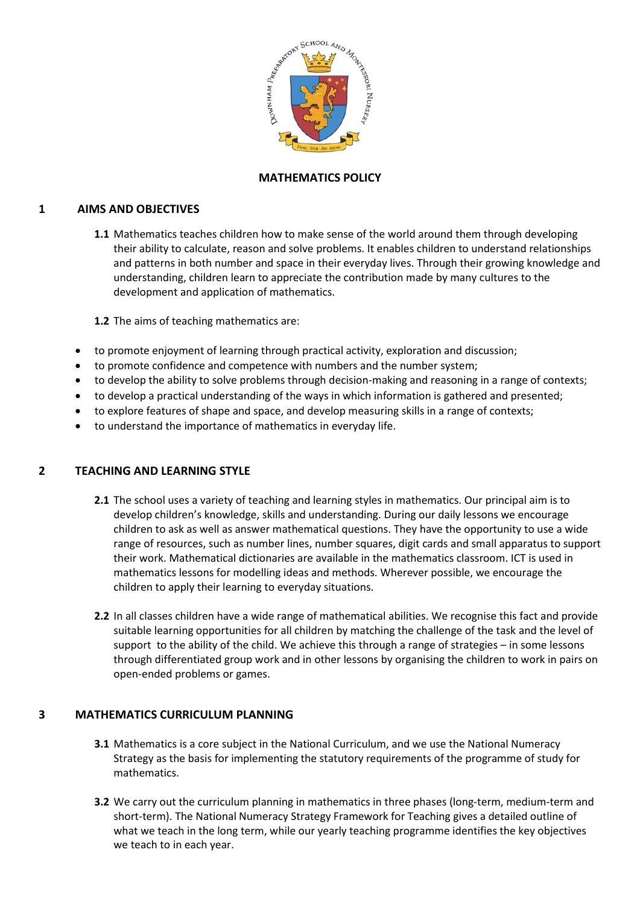

# **MATHEMATICS POLICY**

## **1 AIMS AND OBJECTIVES**

**1.1** Mathematics teaches children how to make sense of the world around them through developing their ability to calculate, reason and solve problems. It enables children to understand relationships and patterns in both number and space in their everyday lives. Through their growing knowledge and understanding, children learn to appreciate the contribution made by many cultures to the development and application of mathematics.

**1.2** The aims of teaching mathematics are:

- to promote enjoyment of learning through practical activity, exploration and discussion;
- to promote confidence and competence with numbers and the number system;
- to develop the ability to solve problems through decision-making and reasoning in a range of contexts;
- to develop a practical understanding of the ways in which information is gathered and presented;
- to explore features of shape and space, and develop measuring skills in a range of contexts;
- to understand the importance of mathematics in everyday life.

## **2 TEACHING AND LEARNING STYLE**

- **2.1** The school uses a variety of teaching and learning styles in mathematics. Our principal aim is to develop children's knowledge, skills and understanding. During our daily lessons we encourage children to ask as well as answer mathematical questions. They have the opportunity to use a wide range of resources, such as number lines, number squares, digit cards and small apparatus to support their work. Mathematical dictionaries are available in the mathematics classroom. ICT is used in mathematics lessons for modelling ideas and methods. Wherever possible, we encourage the children to apply their learning to everyday situations.
- **2.2** In all classes children have a wide range of mathematical abilities. We recognise this fact and provide suitable learning opportunities for all children by matching the challenge of the task and the level of support to the ability of the child. We achieve this through a range of strategies – in some lessons through differentiated group work and in other lessons by organising the children to work in pairs on open-ended problems or games.

#### **3 MATHEMATICS CURRICULUM PLANNING**

- **3.1** Mathematics is a core subject in the National Curriculum, and we use the National Numeracy Strategy as the basis for implementing the statutory requirements of the programme of study for mathematics.
- **3.2** We carry out the curriculum planning in mathematics in three phases (long-term, medium-term and short-term). The National Numeracy Strategy Framework for Teaching gives a detailed outline of what we teach in the long term, while our yearly teaching programme identifies the key objectives we teach to in each year.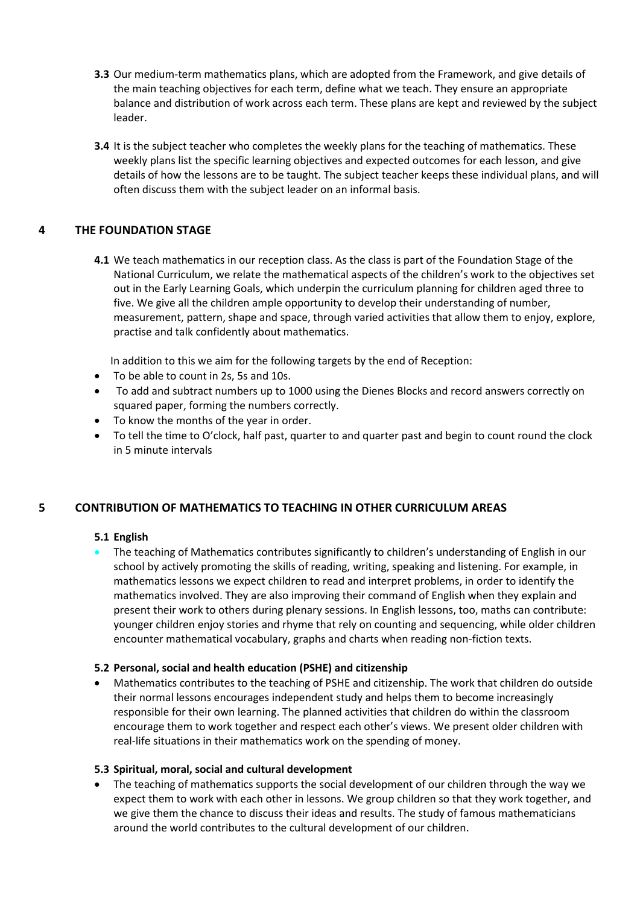- **3.3** Our medium-term mathematics plans, which are adopted from the Framework, and give details of the main teaching objectives for each term, define what we teach. They ensure an appropriate balance and distribution of work across each term. These plans are kept and reviewed by the subject leader.
- **3.4** It is the subject teacher who completes the weekly plans for the teaching of mathematics. These weekly plans list the specific learning objectives and expected outcomes for each lesson, and give details of how the lessons are to be taught. The subject teacher keeps these individual plans, and will often discuss them with the subject leader on an informal basis.

# **4 THE FOUNDATION STAGE**

**4.1** We teach mathematics in our reception class. As the class is part of the Foundation Stage of the National Curriculum, we relate the mathematical aspects of the children's work to the objectives set out in the Early Learning Goals, which underpin the curriculum planning for children aged three to five. We give all the children ample opportunity to develop their understanding of number, measurement, pattern, shape and space, through varied activities that allow them to enjoy, explore, practise and talk confidently about mathematics.

In addition to this we aim for the following targets by the end of Reception:

- To be able to count in 2s, 5s and 10s.
- To add and subtract numbers up to 1000 using the Dienes Blocks and record answers correctly on squared paper, forming the numbers correctly.
- To know the months of the year in order.
- To tell the time to O'clock, half past, quarter to and quarter past and begin to count round the clock in 5 minute intervals

## **5 CONTRIBUTION OF MATHEMATICS TO TEACHING IN OTHER CURRICULUM AREAS**

## **5.1 English**

 The teaching of Mathematics contributes significantly to children's understanding of English in our school by actively promoting the skills of reading, writing, speaking and listening. For example, in mathematics lessons we expect children to read and interpret problems, in order to identify the mathematics involved. They are also improving their command of English when they explain and present their work to others during plenary sessions. In English lessons, too, maths can contribute: younger children enjoy stories and rhyme that rely on counting and sequencing, while older children encounter mathematical vocabulary, graphs and charts when reading non-fiction texts.

## **5.2 Personal, social and health education (PSHE) and citizenship**

 Mathematics contributes to the teaching of PSHE and citizenship. The work that children do outside their normal lessons encourages independent study and helps them to become increasingly responsible for their own learning. The planned activities that children do within the classroom encourage them to work together and respect each other's views. We present older children with real-life situations in their mathematics work on the spending of money.

## **5.3 Spiritual, moral, social and cultural development**

 The teaching of mathematics supports the social development of our children through the way we expect them to work with each other in lessons. We group children so that they work together, and we give them the chance to discuss their ideas and results. The study of famous mathematicians around the world contributes to the cultural development of our children.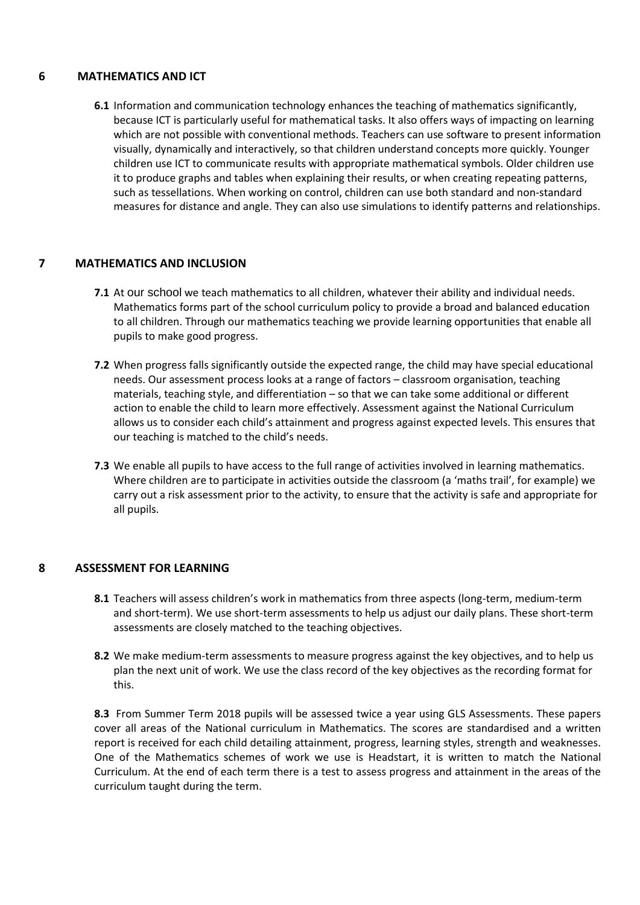## **6 MATHEMATICS AND ICT**

**6.1** Information and communication technology enhances the teaching of mathematics significantly, because ICT is particularly useful for mathematical tasks. It also offers ways of impacting on learning which are not possible with conventional methods. Teachers can use software to present information visually, dynamically and interactively, so that children understand concepts more quickly. Younger children use ICT to communicate results with appropriate mathematical symbols. Older children use it to produce graphs and tables when explaining their results, or when creating repeating patterns, such as tessellations. When working on control, children can use both standard and non-standard measures for distance and angle. They can also use simulations to identify patterns and relationships.

#### **7 MATHEMATICS AND INCLUSION**

- **7.1** At our school we teach mathematics to all children, whatever their ability and individual needs. Mathematics forms part of the school curriculum policy to provide a broad and balanced education to all children. Through our mathematics teaching we provide learning opportunities that enable all pupils to make good progress.
- **7.2** When progress falls significantly outside the expected range, the child may have special educational needs. Our assessment process looks at a range of factors – classroom organisation, teaching materials, teaching style, and differentiation – so that we can take some additional or different action to enable the child to learn more effectively. Assessment against the National Curriculum allows us to consider each child's attainment and progress against expected levels. This ensures that our teaching is matched to the child's needs.
- **7.3** We enable all pupils to have access to the full range of activities involved in learning mathematics. Where children are to participate in activities outside the classroom (a 'maths trail', for example) we carry out a risk assessment prior to the activity, to ensure that the activity is safe and appropriate for all pupils.

#### **8 ASSESSMENT FOR LEARNING**

- **8.1** Teachers will assess children's work in mathematics from three aspects (long-term, medium-term and short-term). We use short-term assessments to help us adjust our daily plans. These short-term assessments are closely matched to the teaching objectives.
- **8.2** We make medium-term assessments to measure progress against the key objectives, and to help us plan the next unit of work. We use the class record of the key objectives as the recording format for this.

**8.3** From Summer Term 2018 pupils will be assessed twice a year using GLS Assessments. These papers cover all areas of the National curriculum in Mathematics. The scores are standardised and a written report is received for each child detailing attainment, progress, learning styles, strength and weaknesses. One of the Mathematics schemes of work we use is Headstart, it is written to match the National Curriculum. At the end of each term there is a test to assess progress and attainment in the areas of the curriculum taught during the term.